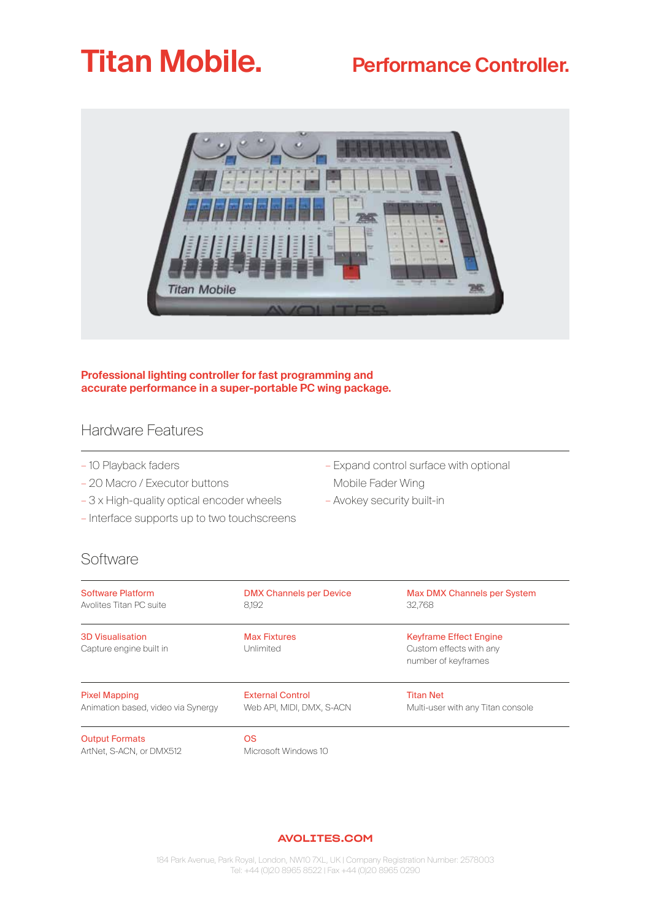# **Titan Mobile.** Performance Controller.



**Professional lighting controller for fast programming and accurate performance in a super-portable PC wing package.**

### Hardware Features

- 10 Playback faders
- 20 Macro / Executor buttons
- 3 x High-quality optical encoder wheels
- Interface supports up to two touchscreens
- Expand control surface with optional Mobile Fader Wing – Avokey security built-in

Software

| Software Platform                                  | <b>DMX Channels per Device</b>    | <b>Max DMX Channels per System</b>                                              |
|----------------------------------------------------|-----------------------------------|---------------------------------------------------------------------------------|
| Avolites Titan PC suite                            | 8.192                             | 32.768                                                                          |
| <b>3D Visualisation</b><br>Capture engine built in | <b>Max Fixtures</b><br>Unlimited  | <b>Keyframe Effect Engine</b><br>Custom effects with any<br>number of keyframes |
| <b>Pixel Mapping</b>                               | <b>External Control</b>           | <b>Titan Net</b>                                                                |
| Animation based, video via Synergy                 | Web API, MIDI, DMX, S-ACN         | Multi-user with any Titan console                                               |
| <b>Output Formats</b><br>ArtNet, S-ACN, or DMX512  | <b>OS</b><br>Microsoft Windows 10 |                                                                                 |

#### AVOLITES.COM